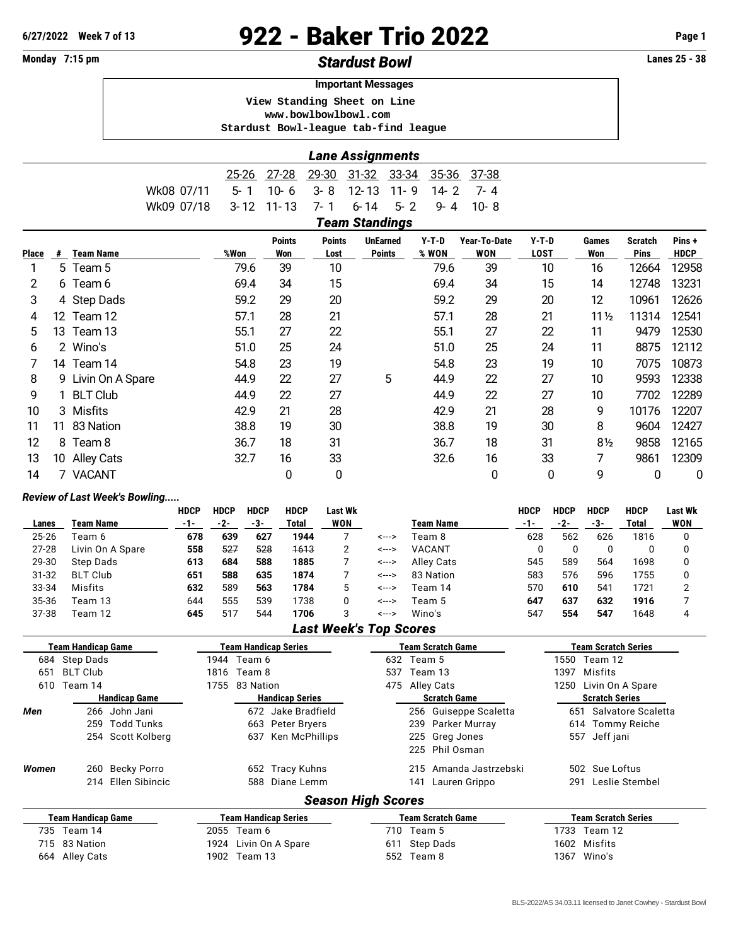## **6/27/2022 Week 7 of 13** 922 - Baker Trio 2022 **Page 1**

| Monday 7:15 pm |                                                          |                  |            |              |               |               | <b>Stardust Bowl</b>                 |                      |              |             |                 |                | <b>Lanes 25 - 38</b> |
|----------------|----------------------------------------------------------|------------------|------------|--------------|---------------|---------------|--------------------------------------|----------------------|--------------|-------------|-----------------|----------------|----------------------|
|                | <b>Important Messages</b><br>View Standing Sheet on Line |                  |            |              |               |               |                                      |                      |              |             |                 |                |                      |
|                |                                                          |                  |            |              |               |               |                                      |                      |              |             |                 |                |                      |
|                |                                                          |                  |            |              |               |               | www.bowlbowlbowl.com                 |                      |              |             |                 |                |                      |
|                |                                                          |                  |            |              |               |               | Stardust Bowl-league tab-find league |                      |              |             |                 |                |                      |
|                |                                                          |                  |            |              |               |               | <b>Lane Assignments</b>              |                      |              |             |                 |                |                      |
|                |                                                          |                  |            | <u>25-26</u> | $27 - 28$     | $29 - 30$     | 31-32 33-34                          | 35-36                | 37-38        |             |                 |                |                      |
|                |                                                          |                  | Wk08 07/11 | $5 - 1$      | $10 - 6$      | $3 - 8$       | $12 - 13$                            | $11 - 9$<br>$14 - 2$ | $7 - 4$      |             |                 |                |                      |
|                |                                                          |                  | Wk09 07/18 | $3 - 12$     | $11 - 13$     | 7- 1          | $6 - 14$                             | $5 - 2$<br>$9 - 4$   | $10 - 8$     |             |                 |                |                      |
|                |                                                          |                  |            |              |               |               | <b>Team Standings</b>                |                      |              |             |                 |                |                      |
|                |                                                          |                  |            |              | <b>Points</b> | <b>Points</b> | <b>UnEarned</b>                      | $Y-T-D$              | Year-To-Date | $Y-T-D$     | <b>Games</b>    | <b>Scratch</b> | Pins+                |
| Place          | #                                                        | <b>Team Name</b> |            | %Won         | Won           | Lost          | <b>Points</b>                        | % WON                | WON          | <b>LOST</b> | Won             | <b>Pins</b>    | <b>HDCP</b>          |
| 1              |                                                          | 5 Team 5         |            | 79.6         | 39            | 10            |                                      | 79.6                 | 39           | 10          | 16              | 12664          | 12958                |
| 2              |                                                          | 6 Team 6         |            | 69.4         | 34            | 15            |                                      | 69.4                 | 34           | 15          | 14              | 12748          | 13231                |
| 3              |                                                          | 4 Step Dads      |            | 59.2         | 29            | 20            |                                      | 59.2                 | 29           | 20          | 12              | 10961          | 12626                |
| 4              | 12                                                       | Team 12          |            | 57.1         | 28            | 21            |                                      | 57.1                 | 28           | 21          | $11\frac{1}{2}$ | 11314          | 12541                |
| 5              |                                                          | 13 Team 13       |            | 55.1         | 27            | 22            |                                      | 55.1                 | 27           | 22          | 11              | 9479           | 12530                |
| 6              |                                                          | 2 Wino's         |            | 51.0         | 25            | 24            |                                      | 51.0                 | 25           | 24          | 11              | 8875           | 12112                |
|                |                                                          | 14 Team 14       |            | 54.8         | 23            | 19            |                                      | 54.8                 | 23           | 19          | 10              | 7075           | 10873                |
| 8              | 9                                                        | Livin On A Spare |            | 44.9         | 22            | 27            | 5                                    | 44.9                 | 22           | 27          | 10              | 9593           | 12338                |

| . .uvc |    | .                  | ,,,,,, | ,,,,, | -,,, | . | ייש יי |    | --- |                 | .     |       |
|--------|----|--------------------|--------|-------|------|---|--------|----|-----|-----------------|-------|-------|
|        |    | 5 Team 5           | 79.6   | 39    | 10   |   | 79.6   | 39 | 10  | 16              | 12664 | 12958 |
| 2      |    | 6 Team 6           | 69.4   | 34    | 15   |   | 69.4   | 34 | 15  | 14              | 12748 | 13231 |
| 3      |    | 4 Step Dads        | 59.2   | 29    | 20   |   | 59.2   | 29 | 20  | 12              | 10961 | 12626 |
| 4      |    | 12 Team 12         | 57.1   | 28    | 21   |   | 57.1   | 28 | 21  | $11\frac{1}{2}$ | 11314 | 12541 |
| 5      | 13 | Team 13            | 55.1   | 27    | 22   |   | 55.1   | 27 | 22  | 11              | 9479  | 12530 |
| 6.     |    | 2 Wino's           | 51.0   | 25    | 24   |   | 51.0   | 25 | 24  | 11              | 8875  | 12112 |
|        |    | 14 Team 14         | 54.8   | 23    | 19   |   | 54.8   | 23 | 19  | 10              | 7075  | 10873 |
| 8      |    | 9 Livin On A Spare | 44.9   | 22    | 27   | 5 | 44.9   | 22 | 27  | 10              | 9593  | 12338 |
| 9      |    | 1 BLT Club         | 44.9   | 22    | 27   |   | 44.9   | 22 | 27  | 10              | 7702  | 12289 |
| 10     |    | 3 Misfits          | 42.9   | 21    | 28   |   | 42.9   | 21 | 28  | 9               | 10176 | 12207 |
| 11     | 11 | 83 Nation          | 38.8   | 19    | 30   |   | 38.8   | 19 | 30  | 8               | 9604  | 12427 |
| 12     | 8  | Team 8             | 36.7   | 18    | 31   |   | 36.7   | 18 | 31  | $8\frac{1}{2}$  | 9858  | 12165 |
| 13     | 10 | <b>Alley Cats</b>  | 32.7   | 16    | 33   |   | 32.6   | 16 | 33  | 7               | 9861  | 12309 |
| 14     |    | <b>VACANT</b>      |        | 0     | 0    |   |        | 0  | 0   | 9               | 0     | 0     |

## *Review of Last Week's Bowling.....*

|           |                  | <b>HDCP</b> | <b>HDCP</b> | <b>HDCP</b> | <b>HDCP</b> | Last Wk    |       |                  | <b>HDCP</b> | <b>HDCP</b> | <b>HDCP</b> | <b>HDCP</b> | <b>Last Wk</b> |
|-----------|------------------|-------------|-------------|-------------|-------------|------------|-------|------------------|-------------|-------------|-------------|-------------|----------------|
| Lanes     | Team Name        | -1-         | -2-         | -3-         | Total       | <b>WON</b> |       | <b>Team Name</b> | -1-         | -2-         | -3-         | Total       | WON            |
| 25-26     | Геат 6           | 678         | 639         | 627         | 1944        |            | <---> | Team 8           | 628         | 562         | 626         | 1816        |                |
| $27 - 28$ | Livin On A Spare | 558         | 527         | 528         | 1613        |            | <---> | VACANT           |             |             |             |             |                |
| 29-30     | Step Dads        | 613         | 684         | 588         | 1885        |            | <---> | Alley Cats       | 545         | 589         | 564         | 1698        |                |
| $31 - 32$ | <b>BLT Club</b>  | 651         | 588         | 635         | 1874        |            | <---> | 83 Nation        | 583         | 576         | 596         | 1755        |                |
| 33-34     | Misfits          | 632         | 589         | 563         | 1784        |            | <---> | Team 14          | 570         | 610         | 541         | 1721        |                |
| 35-36     | Team 13          | 644         | 555         | 539         | 1738        |            | <---> | Team 5           | 647         | 637         | 632         | 1916        |                |
| 37-38     | Feam 12          | 645         | 517         | 544         | 1706        |            | <---> | Wino's           | 547         | 554         | 547         | 1648        |                |

## *Last Week's Top Scores*

| Team Handicap Game |                    |                      | Team Handicap Series | Team Scratch Game           | Team Scratch Series       |                                                    |
|--------------------|--------------------|----------------------|----------------------|-----------------------------|---------------------------|----------------------------------------------------|
| 684                | Step Dads          |                      |                      | 1944 Team 6                 | Team 5<br>632             | 1550<br>Team 12                                    |
| 651                | <b>BLT Club</b>    |                      | 1816                 | Team 8                      | Team 13<br>537            | Misfits<br>1397                                    |
| 610                | Team 14            |                      | 1755                 | 83 Nation                   | 475<br>Alley Cats         | Livin On A Spare<br>1250                           |
|                    |                    | <b>Handicap Game</b> |                      | <b>Handicap Series</b>      | <b>Scratch Game</b>       | <b>Scratch Series</b>                              |
| Men                | 266                | John Jani            |                      | 672 Jake Bradfield          |                           | 256 Guiseppe Scaletta<br>Salvatore Scaletta<br>651 |
|                    | 259                | <b>Todd Tunks</b>    |                      | 663 Peter Bryers            | 239 Parker Murray         | 614 Tommy Reiche                                   |
|                    | 254                | Scott Kolberg        |                      | Ken McPhillips<br>637       | 225 Greg Jones            | Jeff jani<br>557                                   |
|                    |                    |                      |                      |                             | 225 Phil Osman            |                                                    |
| Women              | 260                | Becky Porro          |                      | 652 Tracy Kuhns             |                           | 215 Amanda Jastrzebski<br>502 Sue Loftus           |
|                    | 214                | Ellen Sibincic       |                      | 588 Diane Lemm              | 141                       | Leslie Stembel<br>Lauren Grippo<br>291             |
|                    |                    |                      |                      |                             | <b>Season High Scores</b> |                                                    |
|                    | Team Handicap Game |                      |                      | <b>Team Handicap Series</b> | Team Scratch Game         | Team Scratch Series                                |
|                    | 735 Team 14        |                      | 2055 Team 6          |                             | Team 5<br>710             | 1733 Team 12                                       |
| 715                | 83 Nation          |                      | 1924                 | Livin On A Spare            | Step Dads<br>611          | Misfits<br>1602                                    |
| 664                | Alley Cats         |                      | 1902                 | Team 13                     | 552<br>Team 8             | Wino's<br>1367                                     |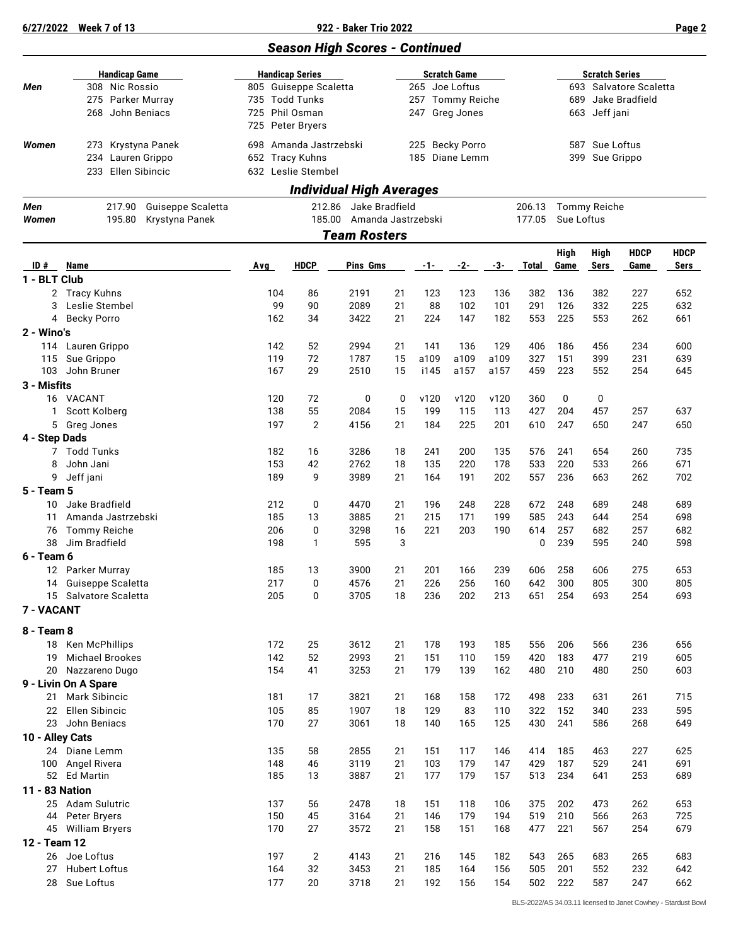|                     |                                                                                 |                                                                                                         |                    | <b>Season High Scores - Continued</b>                                       |          |                                   |              |              |                                                                                           |                                   |            |             |             |  |
|---------------------|---------------------------------------------------------------------------------|---------------------------------------------------------------------------------------------------------|--------------------|-----------------------------------------------------------------------------|----------|-----------------------------------|--------------|--------------|-------------------------------------------------------------------------------------------|-----------------------------------|------------|-------------|-------------|--|
| Men                 | <b>Handicap Game</b><br>308 Nic Rossio<br>275 Parker Murray<br>268 John Beniacs | <b>Handicap Series</b><br>805 Guiseppe Scaletta<br>735 Todd Tunks<br>725 Phil Osman<br>725 Peter Bryers |                    | <b>Scratch Game</b><br>265 Joe Loftus<br>257 Tommy Reiche<br>247 Greg Jones |          |                                   |              |              | <b>Scratch Series</b><br>693 Salvatore Scaletta<br>Jake Bradfield<br>689<br>663 Jeff jani |                                   |            |             |             |  |
| Women               | 273 Krystyna Panek<br>234 Lauren Grippo<br>Ellen Sibincic<br>233                | 698<br>652 Tracy Kuhns<br>632 Leslie Stembel                                                            | Amanda Jastrzebski |                                                                             |          | 225 Becky Porro<br>185 Diane Lemm |              |              | Sue Loftus<br>587<br>Sue Grippo<br>399                                                    |                                   |            |             |             |  |
|                     |                                                                                 |                                                                                                         |                    | <b>Individual High Averages</b>                                             |          |                                   |              |              |                                                                                           |                                   |            |             |             |  |
| Men                 | 217.90<br>Guiseppe Scaletta                                                     |                                                                                                         | 212.86             | Jake Bradfield                                                              |          |                                   |              |              | 206.13                                                                                    |                                   |            |             |             |  |
| Women               | 195.80<br>Krystyna Panek                                                        |                                                                                                         | 185.00             | Amanda Jastrzebski<br><b>Team Rosters</b>                                   |          |                                   |              |              | 177.05                                                                                    | <b>Tommy Reiche</b><br>Sue Loftus |            |             |             |  |
|                     |                                                                                 |                                                                                                         |                    |                                                                             |          |                                   |              |              |                                                                                           | High                              | High       | <b>HDCP</b> | <b>HDCP</b> |  |
| ID#<br>1 - BLT Club | Name                                                                            | Avg                                                                                                     | <b>HDCP</b>        | Pins Gms                                                                    |          | -1-                               | $-2-$        | -3-          | <b>Total</b>                                                                              | Game                              | Sers       | Game        | Sers        |  |
|                     | 2 Tracy Kuhns                                                                   | 104                                                                                                     | 86                 | 2191                                                                        | 21       | 123                               | 123          | 136          | 382                                                                                       | 136                               | 382        | 227         | 652         |  |
| 3                   | Leslie Stembel                                                                  | 99                                                                                                      | 90                 | 2089                                                                        | 21       | 88                                | 102          | 101          | 291                                                                                       | 126                               | 332        | 225         | 632         |  |
| 4                   | Becky Porro                                                                     | 162                                                                                                     | 34                 | 3422                                                                        | 21       | 224                               | 147          | 182          | 553                                                                                       | 225                               | 553        | 262         | 661         |  |
| 2 - Wino's          |                                                                                 |                                                                                                         |                    |                                                                             |          |                                   |              |              |                                                                                           |                                   |            |             |             |  |
|                     | 114 Lauren Grippo                                                               | 142                                                                                                     | 52                 | 2994                                                                        | 21       | 141                               | 136          | 129          | 406                                                                                       | 186                               | 456        | 234         | 600         |  |
| 115<br>103          | Sue Grippo<br>John Bruner                                                       | 119<br>167                                                                                              | 72<br>29           | 1787<br>2510                                                                | 15<br>15 | a109<br>i145                      | a109<br>a157 | a109<br>a157 | 327<br>459                                                                                | 151<br>223                        | 399<br>552 | 231<br>254  | 639<br>645  |  |
| 3 - Misfits         |                                                                                 |                                                                                                         |                    |                                                                             |          |                                   |              |              |                                                                                           |                                   |            |             |             |  |
|                     | 16 VACANT                                                                       | 120                                                                                                     | 72                 | 0                                                                           | 0        | v120                              | v120         | v120         | 360                                                                                       | 0                                 | 0          |             |             |  |
| 1                   | Scott Kolberg                                                                   | 138                                                                                                     | 55                 | 2084                                                                        | 15       | 199                               | 115          | 113          | 427                                                                                       | 204                               | 457        | 257         | 637         |  |
|                     | 5 Greg Jones                                                                    | 197                                                                                                     | $\overline{c}$     | 4156                                                                        | 21       | 184                               | 225          | 201          | 610                                                                                       | 247                               | 650        | 247         | 650         |  |
| 4 - Step Dads       |                                                                                 |                                                                                                         |                    |                                                                             |          |                                   |              |              |                                                                                           |                                   |            |             |             |  |
|                     | 7 Todd Tunks                                                                    | 182                                                                                                     | 16                 | 3286<br>2762                                                                | 18       | 241                               | 200          | 135          | 576<br>533                                                                                | 241<br>220                        | 654<br>533 | 260         | 735         |  |
| 8<br>9              | John Jani<br>Jeff jani                                                          | 153<br>189                                                                                              | 42<br>9            | 3989                                                                        | 18<br>21 | 135<br>164                        | 220<br>191   | 178<br>202   | 557                                                                                       | 236                               | 663        | 266<br>262  | 671<br>702  |  |
| 5 - Team 5          |                                                                                 |                                                                                                         |                    |                                                                             |          |                                   |              |              |                                                                                           |                                   |            |             |             |  |
| 10                  | Jake Bradfield                                                                  | 212                                                                                                     | 0                  | 4470                                                                        | 21       | 196                               | 248          | 228          | 672                                                                                       | 248                               | 689        | 248         | 689         |  |
| 11                  | Amanda Jastrzebski                                                              | 185                                                                                                     | 13                 | 3885                                                                        | 21       | 215                               | 171          | 199          | 585                                                                                       | 243                               | 644        | 254         | 698         |  |
| 76                  | <b>Tommy Reiche</b>                                                             | 206                                                                                                     | 0                  | 3298                                                                        | 16       | 221                               | 203          | 190          | 614                                                                                       | 257                               | 682        | 257         | 682         |  |
| 38<br>6 - Team 6    | Jim Bradfield                                                                   | 198                                                                                                     | 1                  | 595                                                                         | 3        |                                   |              |              | 0                                                                                         | 239                               | 595        | 240         | 598         |  |
|                     | 12 Parker Murray                                                                | 185                                                                                                     | 13                 | 3900                                                                        | 21       | 201                               | 166          | 239          | 606                                                                                       | 258                               | 606        | 275         | 653         |  |
|                     | 14 Guiseppe Scaletta                                                            | 217                                                                                                     | 0                  | 4576                                                                        | 21       | 226                               | 256          | 160          | 642                                                                                       | 300                               | 805        | 300         | 805         |  |
|                     | 15 Salvatore Scaletta                                                           | 205                                                                                                     | $\mathbf 0$        | 3705                                                                        | 18       | 236                               | 202          | 213          | 651                                                                                       | 254                               | 693        | 254         | 693         |  |
| 7 - VACANT          |                                                                                 |                                                                                                         |                    |                                                                             |          |                                   |              |              |                                                                                           |                                   |            |             |             |  |
| 8 - Team 8          |                                                                                 |                                                                                                         |                    |                                                                             |          |                                   |              |              |                                                                                           |                                   |            |             |             |  |
|                     | 18 Ken McPhillips                                                               | 172                                                                                                     | 25                 | 3612                                                                        | 21       | 178                               | 193          | 185          | 556                                                                                       | 206                               | 566        | 236         | 656         |  |
| 19                  | <b>Michael Brookes</b>                                                          | 142                                                                                                     | 52                 | 2993                                                                        | 21       | 151                               | 110          | 159          | 420                                                                                       | 183                               | 477        | 219         | 605         |  |
|                     | 20 Nazzareno Dugo                                                               | 154                                                                                                     | 41                 | 3253                                                                        | 21       | 179                               | 139          | 162          | 480                                                                                       | 210                               | 480        | 250         | 603         |  |
|                     | 9 - Livin On A Spare                                                            |                                                                                                         |                    |                                                                             |          |                                   |              |              |                                                                                           |                                   |            |             |             |  |
| 21<br>22            | Mark Sibincic<br>Ellen Sibincic                                                 | 181<br>105                                                                                              | 17<br>85           | 3821<br>1907                                                                | 21<br>18 | 168<br>129                        | 158<br>83    | 172<br>110   | 498<br>322                                                                                | 233<br>152                        | 631<br>340 | 261<br>233  | 715<br>595  |  |
| 23                  | John Beniacs                                                                    | 170                                                                                                     | 27                 | 3061                                                                        | 18       | 140                               | 165          | 125          | 430                                                                                       | 241                               | 586        | 268         | 649         |  |
| 10 - Alley Cats     |                                                                                 |                                                                                                         |                    |                                                                             |          |                                   |              |              |                                                                                           |                                   |            |             |             |  |
|                     | 24 Diane Lemm                                                                   | 135                                                                                                     | 58                 | 2855                                                                        | 21       | 151                               | 117          | 146          | 414                                                                                       | 185                               | 463        | 227         | 625         |  |
|                     | 100 Angel Rivera                                                                | 148                                                                                                     | 46                 | 3119                                                                        | 21       | 103                               | 179          | 147          | 429                                                                                       | 187                               | 529        | 241         | 691         |  |
|                     | 52 Ed Martin                                                                    | 185                                                                                                     | 13                 | 3887                                                                        | 21       | 177                               | 179          | 157          | 513                                                                                       | 234                               | 641        | 253         | 689         |  |
| 11 - 83 Nation      | 25 Adam Sulutric                                                                | 137                                                                                                     | 56                 | 2478                                                                        | 18       | 151                               | 118          | 106          | 375                                                                                       | 202                               | 473        | 262         | 653         |  |
|                     | 44 Peter Bryers                                                                 | 150                                                                                                     | 45                 | 3164                                                                        | 21       | 146                               | 179          | 194          | 519                                                                                       | 210                               | 566        | 263         | 725         |  |
|                     | 45 William Bryers                                                               | 170                                                                                                     | 27                 | 3572                                                                        | 21       | 158                               | 151          | 168          | 477                                                                                       | 221                               | 567        | 254         | 679         |  |
| 12 - Team 12        |                                                                                 |                                                                                                         |                    |                                                                             |          |                                   |              |              |                                                                                           |                                   |            |             |             |  |
|                     | 26 Joe Loftus                                                                   | 197                                                                                                     | $\overline{c}$     | 4143                                                                        | 21       | 216                               | 145          | 182          | 543                                                                                       | 265                               | 683        | 265         | 683         |  |
| 27                  | <b>Hubert Loftus</b>                                                            | 164                                                                                                     | 32                 | 3453                                                                        | 21       | 185                               | 164          | 156          | 505                                                                                       | 201                               | 552        | 232         | 642         |  |
|                     | 28 Sue Loftus                                                                   | 177                                                                                                     | 20                 | 3718                                                                        | 21       | 192                               | 156          | 154          | 502                                                                                       | 222                               | 587        | 247         | 662         |  |